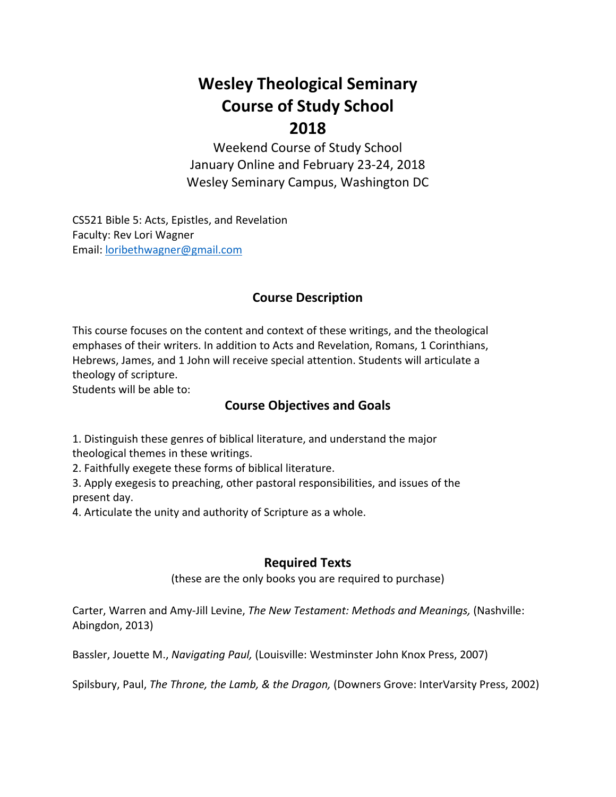# **Wesley Theological Seminary Course of Study School 2018**

Weekend Course of Study School January Online and February 23‐24, 2018 Wesley Seminary Campus, Washington DC

CS521 Bible 5: Acts, Epistles, and Revelation Faculty: Rev Lori Wagner Email: loribethwagner@gmail.com

# **Course Description**

This course focuses on the content and context of these writings, and the theological emphases of their writers. In addition to Acts and Revelation, Romans, 1 Corinthians, Hebrews, James, and 1 John will receive special attention. Students will articulate a theology of scripture.

Students will be able to:

# **Course Objectives and Goals**

1. Distinguish these genres of biblical literature, and understand the major theological themes in these writings.

2. Faithfully exegete these forms of biblical literature.

3. Apply exegesis to preaching, other pastoral responsibilities, and issues of the present day.

4. Articulate the unity and authority of Scripture as a whole.

### **Required Texts**

(these are the only books you are required to purchase)

Carter, Warren and Amy‐Jill Levine, *The New Testament: Methods and Meanings,* (Nashville: Abingdon, 2013)

Bassler, Jouette M., *Navigating Paul,* (Louisville: Westminster John Knox Press, 2007)

Spilsbury, Paul, *The Throne, the Lamb, & the Dragon,* (Downers Grove: InterVarsity Press, 2002)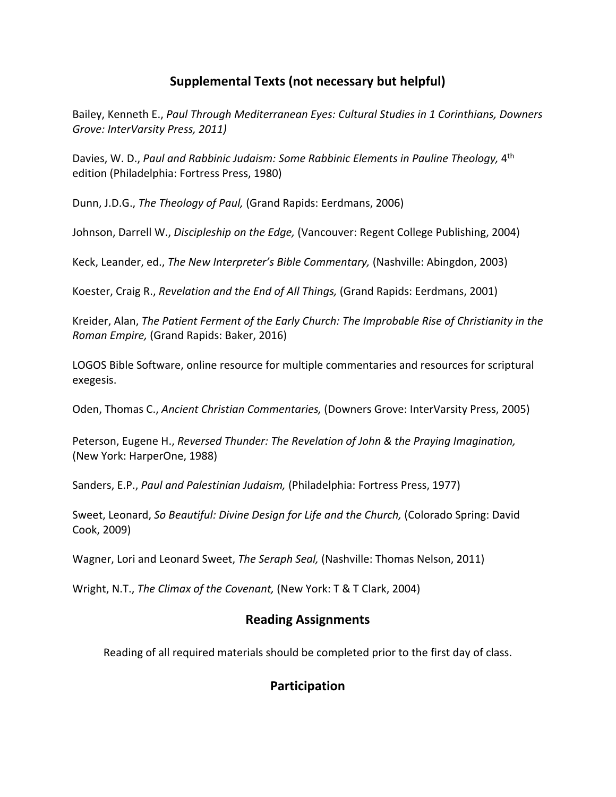# **Supplemental Texts (not necessary but helpful)**

Bailey, Kenneth E., *Paul Through Mediterranean Eyes: Cultural Studies in 1 Corinthians, Downers Grove: InterVarsity Press, 2011)*

Davies, W. D., *Paul and Rabbinic Judaism: Some Rabbinic Elements in Pauline Theology,* 4th edition (Philadelphia: Fortress Press, 1980)

Dunn, J.D.G., *The Theology of Paul,* (Grand Rapids: Eerdmans, 2006)

Johnson, Darrell W., *Discipleship on the Edge,* (Vancouver: Regent College Publishing, 2004)

Keck, Leander, ed., *The New Interpreter's Bible Commentary,* (Nashville: Abingdon, 2003)

Koester, Craig R., *Revelation and the End of All Things,* (Grand Rapids: Eerdmans, 2001)

Kreider, Alan, *The Patient Ferment of the Early Church: The Improbable Rise of Christianity in the Roman Empire,* (Grand Rapids: Baker, 2016)

LOGOS Bible Software, online resource for multiple commentaries and resources for scriptural exegesis.

Oden, Thomas C., *Ancient Christian Commentaries,* (Downers Grove: InterVarsity Press, 2005)

Peterson, Eugene H., *Reversed Thunder: The Revelation of John & the Praying Imagination,* (New York: HarperOne, 1988)

Sanders, E.P., *Paul and Palestinian Judaism,* (Philadelphia: Fortress Press, 1977)

Sweet, Leonard, *So Beautiful: Divine Design for Life and the Church,* (Colorado Spring: David Cook, 2009)

Wagner, Lori and Leonard Sweet, *The Seraph Seal,* (Nashville: Thomas Nelson, 2011)

Wright, N.T., *The Climax of the Covenant,* (New York: T & T Clark, 2004)

# **Reading Assignments**

Reading of all required materials should be completed prior to the first day of class.

# **Participation**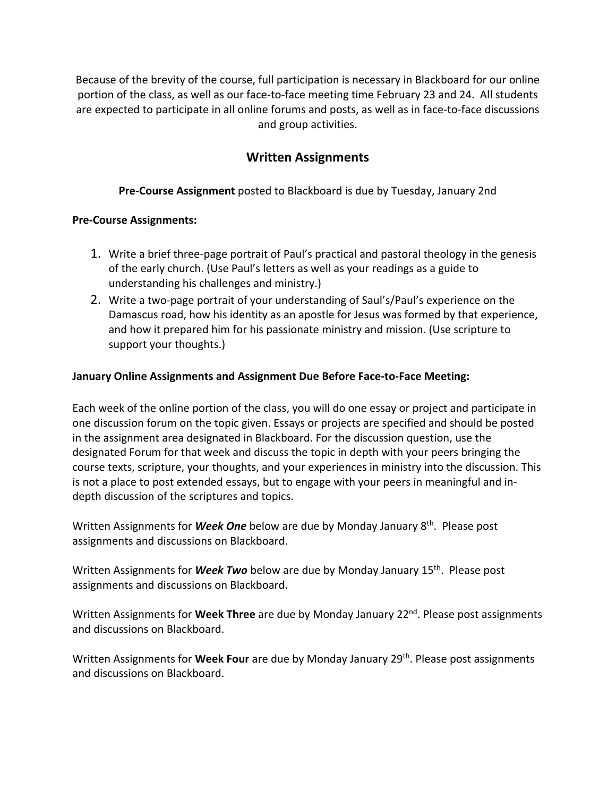Because of the brevity of the course, full participation is necessary in Blackboard for our online portion of the class, as well as our face-to-face meeting time February 23 and 24. All students are expected to participate in all online forums and posts, as well as in face‐to‐face discussions and group activities.

# **Written Assignments**

**Pre‐Course Assignment** posted to Blackboard is due by Tuesday, January 2nd

#### **Pre‐Course Assignments:**

- 1. Write a brief three‐page portrait of Paul's practical and pastoral theology in the genesis of the early church. (Use Paul's letters as well as your readings as a guide to understanding his challenges and ministry.)
- 2. Write a two‐page portrait of your understanding of Saul's/Paul's experience on the Damascus road, how his identity as an apostle for Jesus was formed by that experience, and how it prepared him for his passionate ministry and mission. (Use scripture to support your thoughts.)

#### **January Online Assignments and Assignment Due Before Face‐to‐Face Meeting:**

Each week of the online portion of the class, you will do one essay or project and participate in one discussion forum on the topic given. Essays or projects are specified and should be posted in the assignment area designated in Blackboard. For the discussion question, use the designated Forum for that week and discuss the topic in depth with your peers bringing the course texts, scripture, your thoughts, and your experiences in ministry into the discussion. This is not a place to post extended essays, but to engage with your peers in meaningful and in‐ depth discussion of the scriptures and topics.

Written Assignments for *Week One* below are due by Monday January 8th. Please post assignments and discussions on Blackboard.

Written Assignments for *Week Two* below are due by Monday January 15th. Please post assignments and discussions on Blackboard.

Written Assignments for **Week Three** are due by Monday January 22nd. Please post assignments and discussions on Blackboard.

Written Assignments for **Week Four** are due by Monday January 29th. Please post assignments and discussions on Blackboard.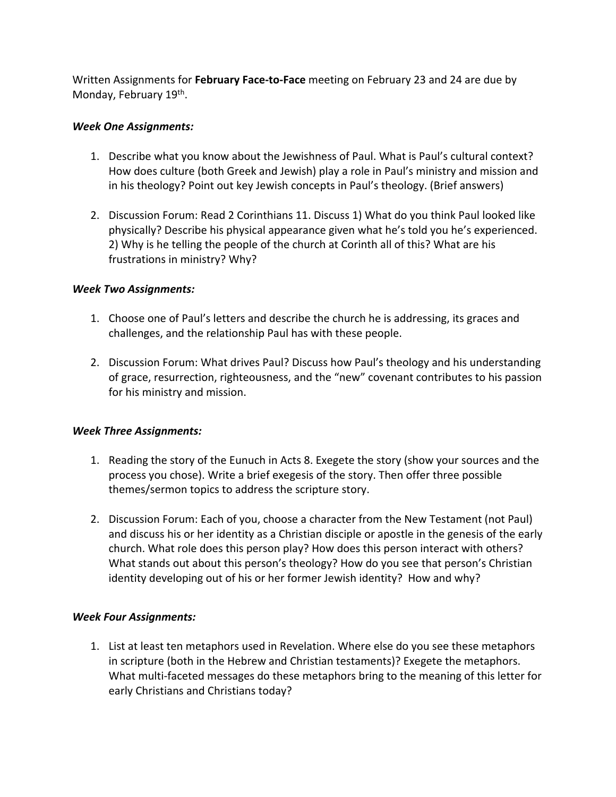Written Assignments for **February Face‐to‐Face** meeting on February 23 and 24 are due by Monday, February 19<sup>th</sup>.

#### *Week One Assignments:*

- 1. Describe what you know about the Jewishness of Paul. What is Paul's cultural context? How does culture (both Greek and Jewish) play a role in Paul's ministry and mission and in his theology? Point out key Jewish concepts in Paul's theology. (Brief answers)
- 2. Discussion Forum: Read 2 Corinthians 11. Discuss 1) What do you think Paul looked like physically? Describe his physical appearance given what he's told you he's experienced. 2) Why is he telling the people of the church at Corinth all of this? What are his frustrations in ministry? Why?

#### *Week Two Assignments:*

- 1. Choose one of Paul's letters and describe the church he is addressing, its graces and challenges, and the relationship Paul has with these people.
- 2. Discussion Forum: What drives Paul? Discuss how Paul's theology and his understanding of grace, resurrection, righteousness, and the "new" covenant contributes to his passion for his ministry and mission.

#### *Week Three Assignments:*

- 1. Reading the story of the Eunuch in Acts 8. Exegete the story (show your sources and the process you chose). Write a brief exegesis of the story. Then offer three possible themes/sermon topics to address the scripture story.
- 2. Discussion Forum: Each of you, choose a character from the New Testament (not Paul) and discuss his or her identity as a Christian disciple or apostle in the genesis of the early church. What role does this person play? How does this person interact with others? What stands out about this person's theology? How do you see that person's Christian identity developing out of his or her former Jewish identity? How and why?

#### *Week Four Assignments:*

1. List at least ten metaphors used in Revelation. Where else do you see these metaphors in scripture (both in the Hebrew and Christian testaments)? Exegete the metaphors. What multi‐faceted messages do these metaphors bring to the meaning of this letter for early Christians and Christians today?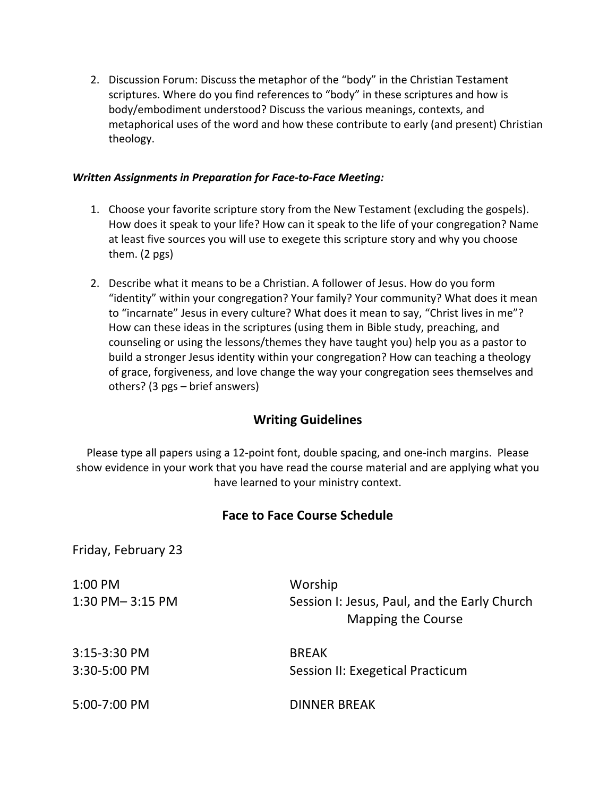2. Discussion Forum: Discuss the metaphor of the "body" in the Christian Testament scriptures. Where do you find references to "body" in these scriptures and how is body/embodiment understood? Discuss the various meanings, contexts, and metaphorical uses of the word and how these contribute to early (and present) Christian theology.

#### *Written Assignments in Preparation for Face‐to‐Face Meeting:*

- 1. Choose your favorite scripture story from the New Testament (excluding the gospels). How does it speak to your life? How can it speak to the life of your congregation? Name at least five sources you will use to exegete this scripture story and why you choose them. (2 pgs)
- 2. Describe what it means to be a Christian. A follower of Jesus. How do you form "identity" within your congregation? Your family? Your community? What does it mean to "incarnate" Jesus in every culture? What does it mean to say, "Christ lives in me"? How can these ideas in the scriptures (using them in Bible study, preaching, and counseling or using the lessons/themes they have taught you) help you as a pastor to build a stronger Jesus identity within your congregation? How can teaching a theology of grace, forgiveness, and love change the way your congregation sees themselves and others? (3 pgs – brief answers)

# **Writing Guidelines**

Please type all papers using a 12‐point font, double spacing, and one‐inch margins. Please show evidence in your work that you have read the course material and are applying what you have learned to your ministry context.

### **Face to Face Course Schedule**

| Friday, February 23 |                                                                    |
|---------------------|--------------------------------------------------------------------|
| 1:00 PM             | Worship                                                            |
| 1:30 PM-3:15 PM     | Session I: Jesus, Paul, and the Early Church<br>Mapping the Course |
| 3:15-3:30 PM        | <b>BREAK</b>                                                       |
| 3:30-5:00 PM        | Session II: Exegetical Practicum                                   |
| 5:00-7:00 PM        | <b>DINNER BREAK</b>                                                |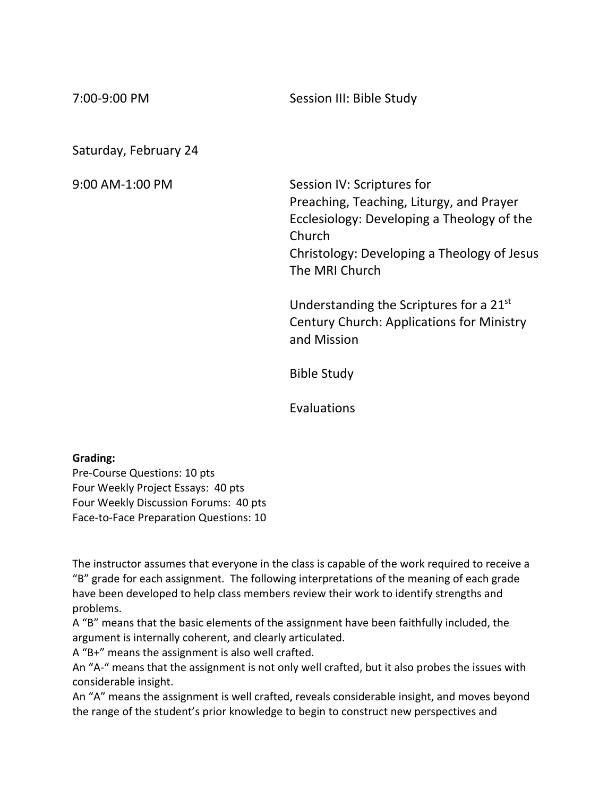7:00‐9:00 PM Session III: Bible Study Saturday, February 24 9:00 AM‐1:00 PM Session IV: Scriptures for Preaching, Teaching, Liturgy, and Prayer Ecclesiology: Developing a Theology of the Church Christology: Developing a Theology of Jesus The MRI Church Understanding the Scriptures for a 21st Century Church: Applications for Ministry and Mission Bible Study Evaluations

#### **Grading:**

Pre‐Course Questions: 10 pts Four Weekly Project Essays: 40 pts Four Weekly Discussion Forums: 40 pts Face‐to‐Face Preparation Questions: 10

The instructor assumes that everyone in the class is capable of the work required to receive a "B" grade for each assignment. The following interpretations of the meaning of each grade have been developed to help class members review their work to identify strengths and problems.

A "B" means that the basic elements of the assignment have been faithfully included, the argument is internally coherent, and clearly articulated.

A "B+" means the assignment is also well crafted.

An "A-" means that the assignment is not only well crafted, but it also probes the issues with considerable insight.

An "A" means the assignment is well crafted, reveals considerable insight, and moves beyond the range of the student's prior knowledge to begin to construct new perspectives and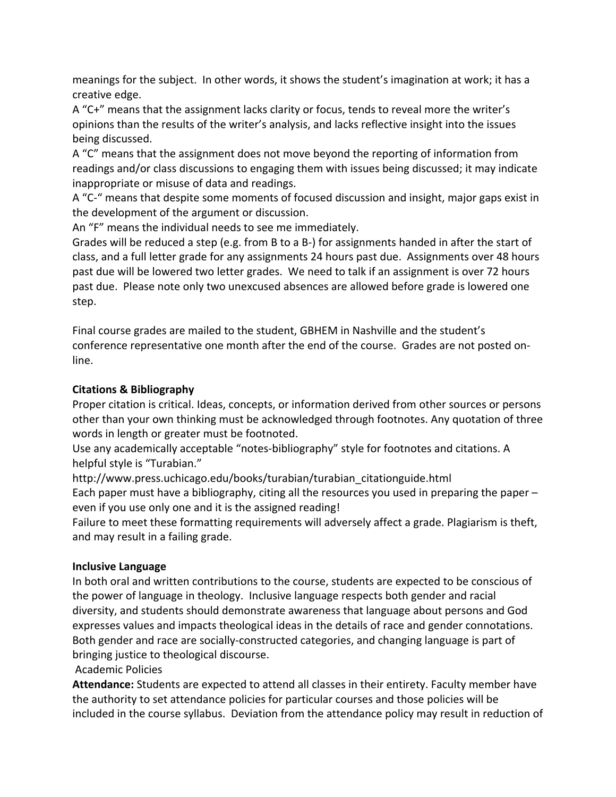meanings for the subject. In other words, it shows the student's imagination at work; it has a creative edge.

A "C+" means that the assignment lacks clarity or focus, tends to reveal more the writer's opinions than the results of the writer's analysis, and lacks reflective insight into the issues being discussed.

A "C" means that the assignment does not move beyond the reporting of information from readings and/or class discussions to engaging them with issues being discussed; it may indicate inappropriate or misuse of data and readings.

A "C‐" means that despite some moments of focused discussion and insight, major gaps exist in the development of the argument or discussion.

An "F" means the individual needs to see me immediately.

Grades will be reduced a step (e.g. from B to a B‐) for assignments handed in after the start of class, and a full letter grade for any assignments 24 hours past due. Assignments over 48 hours past due will be lowered two letter grades. We need to talk if an assignment is over 72 hours past due. Please note only two unexcused absences are allowed before grade is lowered one step.

Final course grades are mailed to the student, GBHEM in Nashville and the student's conference representative one month after the end of the course. Grades are not posted on‐ line.

### **Citations & Bibliography**

Proper citation is critical. Ideas, concepts, or information derived from other sources or persons other than your own thinking must be acknowledged through footnotes. Any quotation of three words in length or greater must be footnoted.

Use any academically acceptable "notes‐bibliography" style for footnotes and citations. A helpful style is "Turabian."

http://www.press.uchicago.edu/books/turabian/turabian\_citationguide.html

Each paper must have a bibliography, citing all the resources you used in preparing the paper – even if you use only one and it is the assigned reading!

Failure to meet these formatting requirements will adversely affect a grade. Plagiarism is theft, and may result in a failing grade.

### **Inclusive Language**

In both oral and written contributions to the course, students are expected to be conscious of the power of language in theology. Inclusive language respects both gender and racial diversity, and students should demonstrate awareness that language about persons and God expresses values and impacts theological ideas in the details of race and gender connotations. Both gender and race are socially‐constructed categories, and changing language is part of bringing justice to theological discourse.

### Academic Policies

**Attendance:** Students are expected to attend all classes in their entirety. Faculty member have the authority to set attendance policies for particular courses and those policies will be included in the course syllabus. Deviation from the attendance policy may result in reduction of